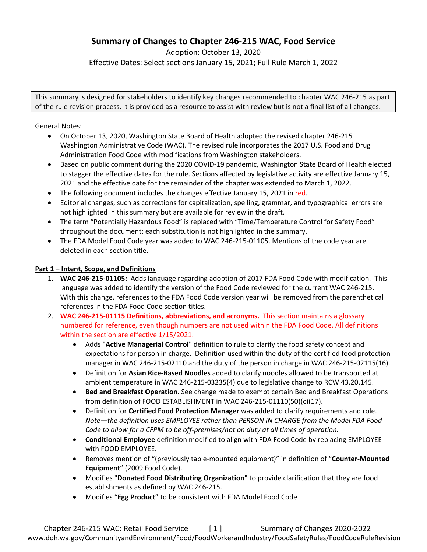# **Summary of Changes to Chapter 246-215 WAC, Food Service**

Adoption: October 13, 2020 Effective Dates: Select sections January 15, 2021; Full Rule March 1, 2022

This summary is designed for stakeholders to identify key changes recommended to chapter WAC 246-215 as part of the rule revision process. It is provided as a resource to assist with review but is not a final list of all changes.

General Notes:

- On October 13, 2020, Washington State Board of Health adopted the revised chapter 246-215 Washington Administrative Code (WAC). The revised rule incorporates the 2017 U.S. Food and Drug Administration Food Code with modifications from Washington stakeholders.
- Based on public comment during the 2020 COVID-19 pandemic, Washington State Board of Health elected to stagger the effective dates for the rule. Sections affected by legislative activity are effective January 15, 2021 and the effective date for the remainder of the chapter was extended to March 1, 2022.
- The following document includes the changes effective January 15, 2021 in red.
- Editorial changes, such as corrections for capitalization, spelling, grammar, and typographical errors are not highlighted in this summary but are available for review in the draft.
- The term "Potentially Hazardous Food" is replaced with "Time/Temperature Control for Safety Food" throughout the document; each substitution is not highlighted in the summary.
- The FDA Model Food Code year was added to WAC 246-215-01105. Mentions of the code year are deleted in each section title.

## **Part 1 – Intent, Scope, and Definitions**

- 1. **WAC 246-215-01105:** Adds language regarding adoption of 2017 FDA Food Code with modification. This language was added to identify the version of the Food Code reviewed for the current WAC 246-215. With this change, references to the FDA Food Code version year will be removed from the parenthetical references in the FDA Food Code section titles.
- 2. **WAC 246-215-01115 Definitions, abbreviations, and acronyms.** This section maintains a glossary numbered for reference, even though numbers are not used within the FDA Food Code. All definitions within the section are effective 1/15/2021.
	- Adds "**Active Managerial Control**" definition to rule to clarify the food safety concept and expectations for person in charge. Definition used within the duty of the certified food protection manager in WAC 246-215-02110 and the duty of the person in charge in WAC 246-215-02115(16).
	- Definition for **Asian Rice-Based Noodles** added to clarify noodles allowed to be transported at ambient temperature in WAC 246-215-03235(4) due to legislative change to RCW 43.20.145.
	- **Bed and Breakfast Operation**. See change made to exempt certain Bed and Breakfast Operations from definition of FOOD ESTABLISHMENT in WAC 246-215-01110(50)(c)(17).
	- Definition for **Certified Food Protection Manager** was added to clarify requirements and role. *Note—the definition uses EMPLOYEE rather than PERSON IN CHARGE from the Model FDA Food Code to allow for a CFPM to be off-premises/not on duty at all times of operation.*
	- **Conditional Employee** definition modified to align with FDA Food Code by replacing EMPLOYEE with FOOD EMPLOYEE.
	- Removes mention of "(previously table-mounted equipment)" in definition of "**Counter-Mounted Equipment**" (2009 Food Code).
	- Modifies "**Donated Food Distributing Organization**" to provide clarification that they are food establishments as defined by WAC 246-215.
	- Modifies "**Egg Product**" to be consistent with FDA Model Food Code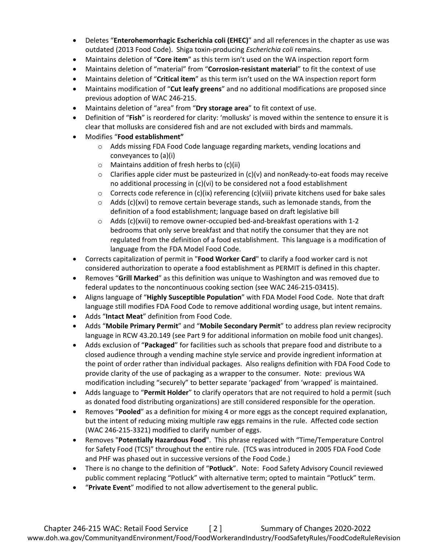- Deletes "**Enterohemorrhagic Escherichia coli (EHEC)**" and all references in the chapter as use was outdated (2013 Food Code). Shiga toxin-producing *Escherichia coli* remains.
- Maintains deletion of "**Core item**" as this term isn't used on the WA inspection report form
- Maintains deletion of "material" from "**Corrosion-resistant material**" to fit the context of use
- Maintains deletion of "**Critical item**" as this term isn't used on the WA inspection report form
- Maintains modification of "**Cut leafy greens**" and no additional modifications are proposed since previous adoption of WAC 246-215.
- Maintains deletion of "area" from "**Dry storage area**" to fit context of use.
- Definition of "**Fish**" is reordered for clarity: 'mollusks' is moved within the sentence to ensure it is clear that mollusks are considered fish and are not excluded with birds and mammals.
- Modifies "**Food establishment"**
	- o Adds missing FDA Food Code language regarding markets, vending locations and conveyances to (a)(i)
	- o Maintains addition of fresh herbs to (c)(ii)
	- $\circ$  Clarifies apple cider must be pasteurized in (c)(v) and nonReady-to-eat foods may receive no additional processing in (c)(vi) to be considered not a food establishment
	- $\circ$  Corrects code reference in (c)(ix) referencing (c)(viii) private kitchens used for bake sales
	- $\circ$  Adds (c)(xvi) to remove certain beverage stands, such as lemonade stands, from the definition of a food establishment; language based on draft legislative bill
	- $\circ$  Adds (c)(xvii) to remove owner-occupied bed-and-breakfast operations with 1-2 bedrooms that only serve breakfast and that notify the consumer that they are not regulated from the definition of a food establishment. This language is a modification of language from the FDA Model Food Code.
- Corrects capitalization of permit in "**Food Worker Card**" to clarify a food worker card is not considered authorization to operate a food establishment as PERMIT is defined in this chapter.
- Removes "**Grill Marked**" as this definition was unique to Washington and was removed due to federal updates to the noncontinuous cooking section (see WAC 246-215-03415).
- Aligns language of "**Highly Susceptible Population**" with FDA Model Food Code. Note that draft language still modifies FDA Food Code to remove additional wording usage, but intent remains.
- Adds "**Intact Meat**" definition from Food Code.
- Adds "**Mobile Primary Permit**" and "**Mobile Secondary Permit**" to address plan review reciprocity language in RCW 43.20.149 (see Part 9 for additional information on mobile food unit changes).
- Adds exclusion of "**Packaged**" for facilities such as schools that prepare food and distribute to a closed audience through a vending machine style service and provide ingredient information at the point of order rather than individual packages. Also realigns definition with FDA Food Code to provide clarity of the use of packaging as a wrapper to the consumer. Note: previous WA modification including "securely" to better separate 'packaged' from 'wrapped' is maintained.
- Adds language to "**Permit Holder**" to clarify operators that are not required to hold a permit (such as donated food distributing organizations) are still considered responsible for the operation.
- Removes "**Pooled**" as a definition for mixing 4 or more eggs as the concept required explanation, but the intent of reducing mixing multiple raw eggs remains in the rule. Affected code section (WAC 246-215-3321) modified to clarify number of eggs.
- Removes "**Potentially Hazardous Food**". This phrase replaced with "Time/Temperature Control for Safety Food (TCS)" throughout the entire rule. (TCS was introduced in 2005 FDA Food Code and PHF was phased out in successive versions of the Food Code.)
- There is no change to the definition of "**Potluck**". Note: Food Safety Advisory Council reviewed public comment replacing "Potluck" with alternative term; opted to maintain "Potluck" term.
- "**Private Event**" modified to not allow advertisement to the general public.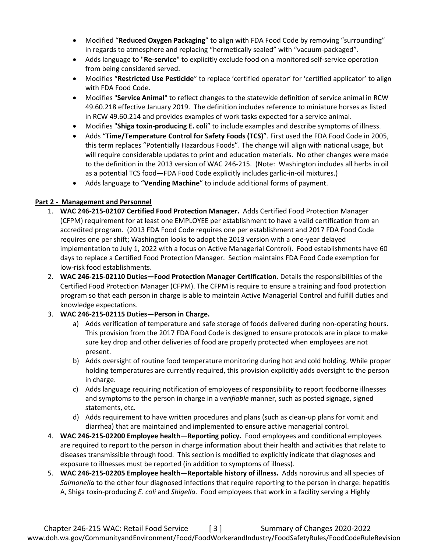- Modified "**Reduced Oxygen Packaging**" to align with FDA Food Code by removing "surrounding" in regards to atmosphere and replacing "hermetically sealed" with "vacuum-packaged".
- Adds language to "**Re-service**" to explicitly exclude food on a monitored self-service operation from being considered served.
- Modifies "**Restricted Use Pesticide**" to replace 'certified operator' for 'certified applicator' to align with FDA Food Code.
- Modifies "**Service Animal**" to reflect changes to the statewide definition of service animal in RCW 49.60.218 effective January 2019. The definition includes reference to miniature horses as listed in RCW 49.60.214 and provides examples of work tasks expected for a service animal.
- Modifies "**Shiga toxin-producing E. coli**" to include examples and describe symptoms of illness.
- Adds "**Time/Temperature Control for Safety Foods (TCS)**". First used the FDA Food Code in 2005, this term replaces "Potentially Hazardous Foods". The change will align with national usage, but will require considerable updates to print and education materials. No other changes were made to the definition in the 2013 version of WAC 246-215. (Note: Washington includes all herbs in oil as a potential TCS food—FDA Food Code explicitly includes garlic-in-oil mixtures.)
- Adds language to "**Vending Machine**" to include additional forms of payment.

## **Part 2 - Management and Personnel**

- 1. **WAC 246-215-02107 Certified Food Protection Manager.** Adds Certified Food Protection Manager (CFPM) requirement for at least one EMPLOYEE per establishment to have a valid certification from an accredited program. (2013 FDA Food Code requires one per establishment and 2017 FDA Food Code requires one per shift; Washington looks to adopt the 2013 version with a one-year delayed implementation to July 1, 2022 with a focus on Active Managerial Control). Food establishments have 60 days to replace a Certified Food Protection Manager. Section maintains FDA Food Code exemption for low-risk food establishments.
- 2. **WAC 246-215-02110 Duties—Food Protection Manager Certification.** Details the responsibilities of the Certified Food Protection Manager (CFPM). The CFPM is require to ensure a training and food protection program so that each person in charge is able to maintain Active Managerial Control and fulfill duties and knowledge expectations.
- 3. **WAC 246-215-02115 Duties—Person in Charge.**
	- a) Adds verification of temperature and safe storage of foods delivered during non-operating hours. This provision from the 2017 FDA Food Code is designed to ensure protocols are in place to make sure key drop and other deliveries of food are properly protected when employees are not present.
	- b) Adds oversight of routine food temperature monitoring during hot and cold holding. While proper holding temperatures are currently required, this provision explicitly adds oversight to the person in charge.
	- c) Adds language requiring notification of employees of responsibility to report foodborne illnesses and symptoms to the person in charge in a *verifiable* manner, such as posted signage, signed statements, etc.
	- d) Adds requirement to have written procedures and plans (such as clean-up plans for vomit and diarrhea) that are maintained and implemented to ensure active managerial control.
- 4. **WAC 246-215-02200 Employee health—Reporting policy.** Food employees and conditional employees are required to report to the person in charge information about their health and activities that relate to diseases transmissible through food. This section is modified to explicitly indicate that diagnoses and exposure to illnesses must be reported (in addition to symptoms of illness).
- 5. **WAC 246-215-02205 Employee health—Reportable history of illness.** Adds norovirus and all species of *Salmonella* to the other four diagnosed infections that require reporting to the person in charge: hepatitis A, Shiga toxin-producing *E. coli* and *Shigella*. Food employees that work in a facility serving a Highly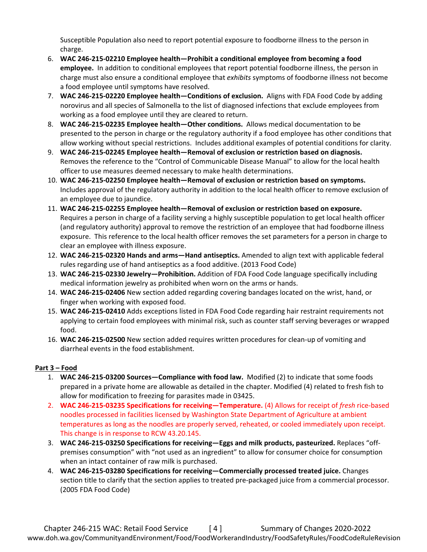Susceptible Population also need to report potential exposure to foodborne illness to the person in charge.

- 6. **WAC 246-215-02210 Employee health—Prohibit a conditional employee from becoming a food employee.** In addition to conditional employees that report potential foodborne illness, the person in charge must also ensure a conditional employee that *exhibits* symptoms of foodborne illness not become a food employee until symptoms have resolved.
- 7. **WAC 246-215-02220 Employee health—Conditions of exclusion.** Aligns with FDA Food Code by adding norovirus and all species of Salmonella to the list of diagnosed infections that exclude employees from working as a food employee until they are cleared to return.
- 8. **WAC 246-215-02235 Employee health—Other conditions.** Allows medical documentation to be presented to the person in charge or the regulatory authority if a food employee has other conditions that allow working without special restrictions. Includes additional examples of potential conditions for clarity.
- 9. **WAC 246-215-02245 Employee health—Removal of exclusion or restriction based on diagnosis.**  Removes the reference to the "Control of Communicable Disease Manual" to allow for the local health officer to use measures deemed necessary to make health determinations.
- 10. **WAC 246-215-02250 Employee health—Removal of exclusion or restriction based on symptoms.**  Includes approval of the regulatory authority in addition to the local health officer to remove exclusion of an employee due to jaundice.
- 11. **WAC 246-215-02255 Employee health—Removal of exclusion or restriction based on exposure.**  Requires a person in charge of a facility serving a highly susceptible population to get local health officer (and regulatory authority) approval to remove the restriction of an employee that had foodborne illness exposure. This reference to the local health officer removes the set parameters for a person in charge to clear an employee with illness exposure.
- 12. **WAC 246-215-02320 Hands and arms—Hand antiseptics.** Amended to align text with applicable federal rules regarding use of hand antiseptics as a food additive. (2013 Food Code)
- 13. **WAC 246-215-02330 Jewelry—Prohibition.** Addition of FDA Food Code language specifically including medical information jewelry as prohibited when worn on the arms or hands.
- 14. **WAC 246-215-02406** New section added regarding covering bandages located on the wrist, hand, or finger when working with exposed food.
- 15. **WAC 246-215-02410** Adds exceptions listed in FDA Food Code regarding hair restraint requirements not applying to certain food employees with minimal risk, such as counter staff serving beverages or wrapped food.
- 16. **WAC 246-215-02500** New section added requires written procedures for clean-up of vomiting and diarrheal events in the food establishment.

## **Part 3 – Food**

- 1. **WAC 246-215-03200 Sources—Compliance with food law.** Modified (2) to indicate that some foods prepared in a private home are allowable as detailed in the chapter. Modified (4) related to fresh fish to allow for modification to freezing for parasites made in 03425.
- 2. **WAC 246-215-03235 Specifications for receiving—Temperature.** (4) Allows for receipt of *fresh* rice-based noodles processed in facilities licensed by Washington State Department of Agriculture at ambient temperatures as long as the noodles are properly served, reheated, or cooled immediately upon receipt. This change is in response to RCW 43.20.145.
- 3. **WAC 246-215-03250 Specifications for receiving—Eggs and milk products, pasteurized.** Replaces "offpremises consumption" with "not used as an ingredient" to allow for consumer choice for consumption when an intact container of raw milk is purchased.
- 4. **WAC 246-215-03280 Specifications for receiving—Commercially processed treated juice.** Changes section title to clarify that the section applies to treated pre-packaged juice from a commercial processor. (2005 FDA Food Code)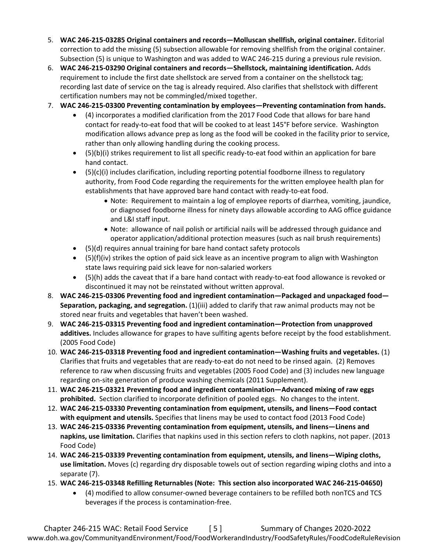- 5. **WAC 246-215-03285 Original containers and records—Molluscan shellfish, original container.** Editorial correction to add the missing (5) subsection allowable for removing shellfish from the original container. Subsection (5) is unique to Washington and was added to WAC 246-215 during a previous rule revision.
- 6. **WAC 246-215-03290 Original containers and records—Shellstock, maintaining identification.** Adds requirement to include the first date shellstock are served from a container on the shellstock tag; recording last date of service on the tag is already required. Also clarifies that shellstock with different certification numbers may not be commingled/mixed together.
- 7. **WAC 246-215-03300 Preventing contamination by employees—Preventing contamination from hands.** 
	- (4) incorporates a modified clarification from the 2017 Food Code that allows for bare hand contact for ready-to-eat food that will be cooked to at least 145°F before service. Washington modification allows advance prep as long as the food will be cooked in the facility prior to service, rather than only allowing handling during the cooking process.
	- (5)(b)(i) strikes requirement to list all specific ready-to-eat food within an application for bare hand contact.
	- (5)(c)(i) includes clarification, including reporting potential foodborne illness to regulatory authority, from Food Code regarding the requirements for the written employee health plan for establishments that have approved bare hand contact with ready-to-eat food.
		- Note: Requirement to maintain a log of employee reports of diarrhea, vomiting, jaundice, or diagnosed foodborne illness for ninety days allowable according to AAG office guidance and L&I staff input.
		- Note: allowance of nail polish or artificial nails will be addressed through guidance and operator application/additional protection measures (such as nail brush requirements)
	- (5)(d) requires annual training for bare hand contact safety protocols
	- $\bullet$  (5)(f)(iv) strikes the option of paid sick leave as an incentive program to align with Washington state laws requiring paid sick leave for non-salaried workers
	- (5)(h) adds the caveat that if a bare hand contact with ready-to-eat food allowance is revoked or discontinued it may not be reinstated without written approval.
- 8. **WAC 246-215-03306 Preventing food and ingredient contamination—Packaged and unpackaged food— Separation, packaging, and segregation.** (1)(iii) added to clarify that raw animal products may not be stored near fruits and vegetables that haven't been washed.
- 9. **WAC 246-215-03315 Preventing food and ingredient contamination—Protection from unapproved additives.** Includes allowance for grapes to have sulfiting agents before receipt by the food establishment. (2005 Food Code)
- 10. **WAC 246-215-03318 Preventing food and ingredient contamination—Washing fruits and vegetables.** (1) Clarifies that fruits and vegetables that are ready-to-eat do not need to be rinsed again. (2) Removes reference to raw when discussing fruits and vegetables (2005 Food Code) and (3) includes new language regarding on-site generation of produce washing chemicals (2011 Supplement).
- 11. **WAC 246-215-03321 Preventing food and ingredient contamination—Advanced mixing of raw eggs prohibited.** Section clarified to incorporate definition of pooled eggs. No changes to the intent.
- 12. **WAC 246-215-03330 Preventing contamination from equipment, utensils, and linens—Food contact with equipment and utensils.** Specifies that linens may be used to contact food (2013 Food Code)
- 13. **WAC 246-215-03336 Preventing contamination from equipment, utensils, and linens—Linens and napkins, use limitation.** Clarifies that napkins used in this section refers to cloth napkins, not paper. (2013 Food Code)
- 14. **WAC 246-215-03339 Preventing contamination from equipment, utensils, and linens—Wiping cloths, use limitation.** Moves (c) regarding dry disposable towels out of section regarding wiping cloths and into a separate (7).
- 15. **WAC 246-215-03348 Refilling Returnables (Note: This section also incorporated WAC 246-215-04650)**
	- (4) modified to allow consumer-owned beverage containers to be refilled both nonTCS and TCS beverages if the process is contamination-free.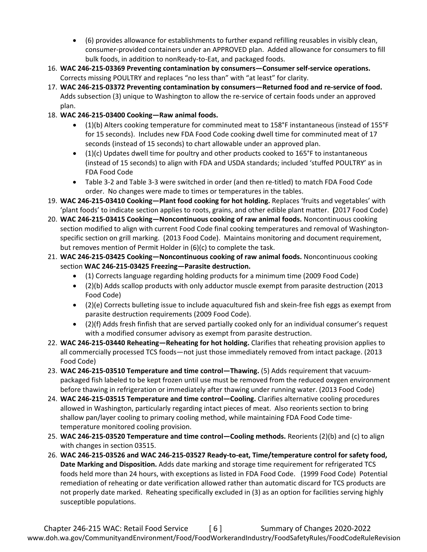- (6) provides allowance for establishments to further expand refilling reusables in visibly clean, consumer-provided containers under an APPROVED plan. Added allowance for consumers to fill bulk foods, in addition to nonReady-to-Eat, and packaged foods.
- 16. **WAC 246-215-03369 Preventing contamination by consumers—Consumer self-service operations.** Corrects missing POULTRY and replaces "no less than" with "at least" for clarity.
- 17. **WAC 246-215-03372 Preventing contamination by consumers—Returned food and re-service of food.**  Adds subsection (3) unique to Washington to allow the re-service of certain foods under an approved plan.
- 18. **WAC 246-215-03400 Cooking—Raw animal foods.**
	- (1)(b) Alters cooking temperature for comminuted meat to 158°F instantaneous (instead of 155°F for 15 seconds). Includes new FDA Food Code cooking dwell time for comminuted meat of 17 seconds (instead of 15 seconds) to chart allowable under an approved plan.
	- $\bullet$  (1)(c) Updates dwell time for poultry and other products cooked to 165°F to instantaneous (instead of 15 seconds) to align with FDA and USDA standards; included 'stuffed POULTRY' as in FDA Food Code
	- Table 3-2 and Table 3-3 were switched in order (and then re-titled) to match FDA Food Code order. No changes were made to times or temperatures in the tables.
- 19. **WAC 246-215-03410 Cooking—Plant food cooking for hot holding.** Replaces 'fruits and vegetables' with 'plant foods' to indicate section applies to roots, grains, and other edible plant matter. **(**2017 Food Code)
- 20. **WAC 246-215-03415 Cooking—Noncontinuous cooking of raw animal foods.** Noncontinuous cooking section modified to align with current Food Code final cooking temperatures and removal of Washingtonspecific section on grill marking. (2013 Food Code). Maintains monitoring and document requirement, but removes mention of Permit Holder in (6)(c) to complete the task.
- 21. **WAC 246-215-03425 Cooking—Noncontinuous cooking of raw animal foods.** Noncontinuous cooking section **WAC 246-215-03425 Freezing—Parasite destruction.**
	- (1) Corrects language regarding holding products for a minimum time (2009 Food Code)
	- (2)(b) Adds scallop products with only adductor muscle exempt from parasite destruction (2013 Food Code)
	- (2)(e) Corrects bulleting issue to include aquacultured fish and skein-free fish eggs as exempt from parasite destruction requirements (2009 Food Code).
	- (2)(f) Adds fresh finfish that are served partially cooked only for an individual consumer's request with a modified consumer advisory as exempt from parasite destruction.
- 22. **WAC 246-215-03440 Reheating—Reheating for hot holding.** Clarifies that reheating provision applies to all commercially processed TCS foods—not just those immediately removed from intact package. (2013 Food Code)
- 23. **WAC 246-215-03510 Temperature and time control—Thawing.** (5) Adds requirement that vacuumpackaged fish labeled to be kept frozen until use must be removed from the reduced oxygen environment before thawing in refrigeration or immediately after thawing under running water. (2013 Food Code)
- 24. **WAC 246-215-03515 Temperature and time control—Cooling.** Clarifies alternative cooling procedures allowed in Washington, particularly regarding intact pieces of meat. Also reorients section to bring shallow pan/layer cooling to primary cooling method, while maintaining FDA Food Code timetemperature monitored cooling provision.
- 25. **WAC 246-215-03520 Temperature and time control—Cooling methods.** Reorients (2)(b) and (c) to align with changes in section 03515.
- 26. **WAC 246-215-03526 and WAC 246-215-03527 Ready-to-eat, Time/temperature control for safety food, Date Marking and Disposition.** Adds date marking and storage time requirement for refrigerated TCS foods held more than 24 hours, with exceptions as listed in FDA Food Code. (1999 Food Code) Potential remediation of reheating or date verification allowed rather than automatic discard for TCS products are not properly date marked. Reheating specifically excluded in (3) as an option for facilities serving highly susceptible populations.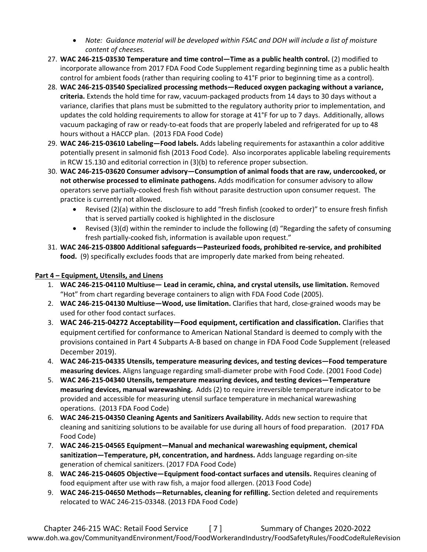- *Note: Guidance material will be developed within FSAC and DOH will include a list of moisture content of cheeses.*
- 27. **WAC 246-215-03530 Temperature and time control—Time as a public health control.** (2) modified to incorporate allowance from 2017 FDA Food Code Supplement regarding beginning time as a public health control for ambient foods (rather than requiring cooling to 41°F prior to beginning time as a control).
- 28. **WAC 246-215-03540 Specialized processing methods—Reduced oxygen packaging without a variance, criteria.** Extends the hold time for raw, vacuum-packaged products from 14 days to 30 days without a variance, clarifies that plans must be submitted to the regulatory authority prior to implementation, and updates the cold holding requirements to allow for storage at 41°F for up to 7 days. Additionally, allows vacuum packaging of raw or ready-to-eat foods that are properly labeled and refrigerated for up to 48 hours without a HACCP plan.(2013 FDA Food Code)
- 29. **WAC 246-215-03610 Labeling—Food labels.** Adds labeling requirements for astaxanthin a color additive potentially present in salmonid fish (2013 Food Code). Also incorporates applicable labeling requirements in RCW 15.130 and editorial correction in (3)(b) to reference proper subsection.
- 30. **WAC 246-215-03620 Consumer advisory—Consumption of animal foods that are raw, undercooked, or not otherwise processed to eliminate pathogens.** Adds modification for consumer advisory to allow operators serve partially-cooked fresh fish without parasite destruction upon consumer request. The practice is currently not allowed.
	- Revised (2)(a) within the disclosure to add "fresh finfish (cooked to order)" to ensure fresh finfish that is served partially cooked is highlighted in the disclosure
	- Revised (3)(d) within the reminder to include the following (d) "Regarding the safety of consuming fresh partially-cooked fish, information is available upon request."
- 31. **WAC 246-215-03800 Additional safeguards—Pasteurized foods, prohibited re-service, and prohibited food.** (9) specifically excludes foods that are improperly date marked from being reheated.

## **Part 4 – Equipment, Utensils, and Linens**

- 1. **WAC 246-215-04110 Multiuse— Lead in ceramic, china, and crystal utensils, use limitation.** Removed "Hot" from chart regarding beverage containers to align with FDA Food Code (2005).
- 2. **WAC 246-215-04130 Multiuse—Wood, use limitation.** Clarifies that hard, close-grained woods may be used for other food contact surfaces.
- 3. **WAC 246-215-04272 Acceptability—Food equipment, certification and classification.** Clarifies that equipment certified for conformance to American National Standard is deemed to comply with the provisions contained in Part 4 Subparts A-B based on change in FDA Food Code Supplement (released December 2019).
- 4. **WAC 246-215-04335 Utensils, temperature measuring devices, and testing devices—Food temperature measuring devices.** Aligns language regarding small-diameter probe with Food Code. (2001 Food Code)
- 5. **WAC 246-215-04340 Utensils, temperature measuring devices, and testing devices—Temperature measuring devices, manual warewashing.** Adds (2) to require irreversible temperature indicator to be provided and accessible for measuring utensil surface temperature in mechanical warewashing operations.(2013 FDA Food Code)
- 6. **WAC 246-215-04350 Cleaning Agents and Sanitizers Availability.** Adds new section to require that cleaning and sanitizing solutions to be available for use during all hours of food preparation.(2017 FDA Food Code)
- 7. **WAC 246-215-04565 Equipment—Manual and mechanical warewashing equipment, chemical sanitization—Temperature, pH, concentration, and hardness.** Adds language regarding on-site generation of chemical sanitizers. (2017 FDA Food Code)
- 8. **WAC 246-215-04605 Objective—Equipment food-contact surfaces and utensils.** Requires cleaning of food equipment after use with raw fish, a major food allergen. (2013 Food Code)
- 9. **WAC 246-215-04650 Methods—Returnables, cleaning for refilling.** Section deleted and requirements relocated to WAC 246-215-03348. (2013 FDA Food Code)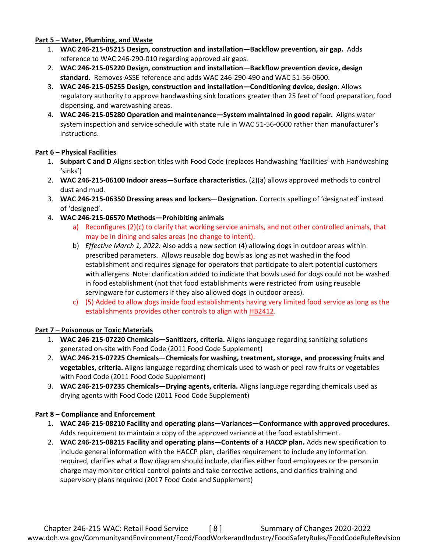#### **Part 5 – Water, Plumbing, and Waste**

- 1. **WAC 246-215-05215 Design, construction and installation—Backflow prevention, air gap.** Adds reference to WAC 246-290-010 regarding approved air gaps.
- 2. **WAC 246-215-05220 Design, construction and installation—Backflow prevention device, design standard.** Removes ASSE reference and adds WAC 246-290-490 and WAC 51-56-0600.
- 3. **WAC 246-215-05255 Design, construction and installation—Conditioning device, design.** Allows regulatory authority to approve handwashing sink locations greater than 25 feet of food preparation, food dispensing, and warewashing areas.
- 4. **WAC 246-215-05280 Operation and maintenance—System maintained in good repair.** Aligns water system inspection and service schedule with state rule in WAC 51-56-0600 rather than manufacturer's instructions.

## **Part 6 – Physical Facilities**

- 1. **Subpart C and D** Aligns section titles with Food Code (replaces Handwashing 'facilities' with Handwashing 'sinks')
- 2. **WAC 246-215-06100 Indoor areas—Surface characteristics.** (2)(a) allows approved methods to control dust and mud.
- 3. **WAC 246-215-06350 Dressing areas and lockers—Designation.** Corrects spelling of 'designated' instead of 'designed'.
- 4. **WAC 246-215-06570 Methods—Prohibiting animals**
	- a) Reconfigures (2)(c) to clarify that working service animals, and not other controlled animals, that may be in dining and sales areas (no change to intent).
	- b) *Effective March 1, 2022:* Also adds a new section (4) allowing dogs in outdoor areas within prescribed parameters. Allows reusable dog bowls as long as not washed in the food establishment and requires signage for operators that participate to alert potential customers with allergens. Note: clarification added to indicate that bowls used for dogs could not be washed in food establishment (not that food establishments were restricted from using reusable servingware for customers if they also allowed dogs in outdoor areas).
	- c) (5) Added to allow dogs inside food establishments having very limited food service as long as the establishments provides other controls to align with [HB2412.](https://app.leg.wa.gov/billsummary?BillNumber=2412&Year=2019&Initiative=false)

## **Part 7 – Poisonous or Toxic Materials**

- 1. **WAC 246-215-07220 Chemicals—Sanitizers, criteria.** Aligns language regarding sanitizing solutions generated on-site with Food Code (2011 Food Code Supplement)
- 2. **WAC 246-215-07225 Chemicals—Chemicals for washing, treatment, storage, and processing fruits and vegetables, criteria.** Aligns language regarding chemicals used to wash or peel raw fruits or vegetables with Food Code (2011 Food Code Supplement)
- 3. **WAC 246-215-07235 Chemicals—Drying agents, criteria.** Aligns language regarding chemicals used as drying agents with Food Code (2011 Food Code Supplement)

## **Part 8 – Compliance and Enforcement**

- 1. **WAC 246-215-08210 Facility and operating plans—Variances—Conformance with approved procedures.**  Adds requirement to maintain a copy of the approved variance at the food establishment.
- 2. **WAC 246-215-08215 Facility and operating plans—Contents of a HACCP plan.** Adds new specification to include general information with the HACCP plan, clarifies requirement to include any information required, clarifies what a flow diagram should include, clarifies either food employees or the person in charge may monitor critical control points and take corrective actions, and clarifies training and supervisory plans required (2017 Food Code and Supplement)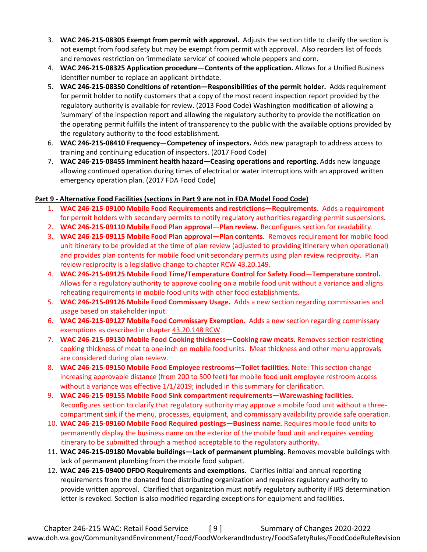- 3. **WAC 246-215-08305 Exempt from permit with approval.** Adjusts the section title to clarify the section is not exempt from food safety but may be exempt from permit with approval. Also reorders list of foods and removes restriction on 'immediate service' of cooked whole peppers and corn.
- 4. **WAC 246-215-08325 Application procedure—Contents of the application.** Allows for a Unified Business Identifier number to replace an applicant birthdate.
- 5. **WAC 246-215-08350 Conditions of retention—Responsibilities of the permit holder.** Adds requirement for permit holder to notify customers that a copy of the most recent inspection report provided by the regulatory authority is available for review. (2013 Food Code) Washington modification of allowing a 'summary' of the inspection report and allowing the regulatory authority to provide the notification on the operating permit fulfills the intent of transparency to the public with the available options provided by the regulatory authority to the food establishment.
- 6. **WAC 246-215-08410 Frequency—Competency of inspectors.** Adds new paragraph to address access to training and continuing education of inspectors. (2017 Food Code)
- 7. **WAC 246-215-08455 Imminent health hazard—Ceasing operations and reporting.** Adds new language allowing continued operation during times of electrical or water interruptions with an approved written emergency operation plan. (2017 FDA Food Code)

## **Part 9 - Alternative Food Facilities (sections in Part 9 are not in FDA Model Food Code)**

- 1. **WAC 246-215-09100 Mobile Food Requirements and restrictions—Requirements.** Adds a requirement for permit holders with secondary permits to notify regulatory authorities regarding permit suspensions.
- 2. **WAC 246-215-09110 Mobile Food Plan approval—Plan review.** Reconfigures section for readability.
- 3. **WAC 246-215-09115 Mobile Food Plan approval—Plan contents.** Removes requirement for mobile food unit itinerary to be provided at the time of plan review (adjusted to providing itinerary when operational) and provides plan contents for mobile food unit secondary permits using plan review reciprocity. Plan review reciprocity is a legislative change to chapter [RCW 43.20.149.](https://app.leg.wa.gov/RCW/default.aspx?cite=43.20.149)
- 4. **WAC 246-215-09125 Mobile Food Time/Temperature Control for Safety Food—Temperature control.**  Allows for a regulatory authority to approve cooling on a mobile food unit without a variance and aligns reheating requirements in mobile food units with other food establishments.
- 5. **WAC 246-215-09126 Mobile Food Commissary Usage.** Adds a new section regarding commissaries and usage based on stakeholder input.
- 6. **WAC 246-215-09127 Mobile Food Commissary Exemption.** Adds a new section regarding commissary exemptions as described in chapter [43.20.148 RCW.](https://app.leg.wa.gov/RCW/default.aspx?cite=43.20.148)
- 7. **WAC 246-215-09130 Mobile Food Cooking thickness—Cooking raw meats.** Removes section restricting cooking thickness of meat to one inch on mobile food units. Meat thickness and other menu approvals are considered during plan review.
- 8. **WAC 246-215-09150 Mobile Food Employee restrooms—Toilet facilities.** Note: This section change increasing approvable distance (from 200 to 500 feet) for mobile food unit employee restroom access without a variance was effective 1/1/2019; included in this summary for clarification.
- 9. **WAC 246-215-09155 Mobile Food Sink compartment requirements—Warewashing facilities.**  Reconfigures section to clarify that regulatory authority may approve a mobile food unit without a threecompartment sink if the menu, processes, equipment, and commissary availability provide safe operation.
- 10. **WAC 246-215-09160 Mobile Food Required postings—Business name.** Requires mobile food units to permanently display the business name on the exterior of the mobile food unit and requires vending itinerary to be submitted through a method acceptable to the regulatory authority.
- 11. **WAC 246-215-09180 Movable buildings—Lack of permanent plumbing.** Removes movable buildings with lack of permanent plumbing from the mobile food subpart.
- 12. **WAC 246-215-09400 DFDO Requirements and exemptions.** Clarifies initial and annual reporting requirements from the donated food distributing organization and requires regulatory authority to provide written approval. Clarified that organization must notify regulatory authority if IRS determination letter is revoked. Section is also modified regarding exceptions for equipment and facilities.